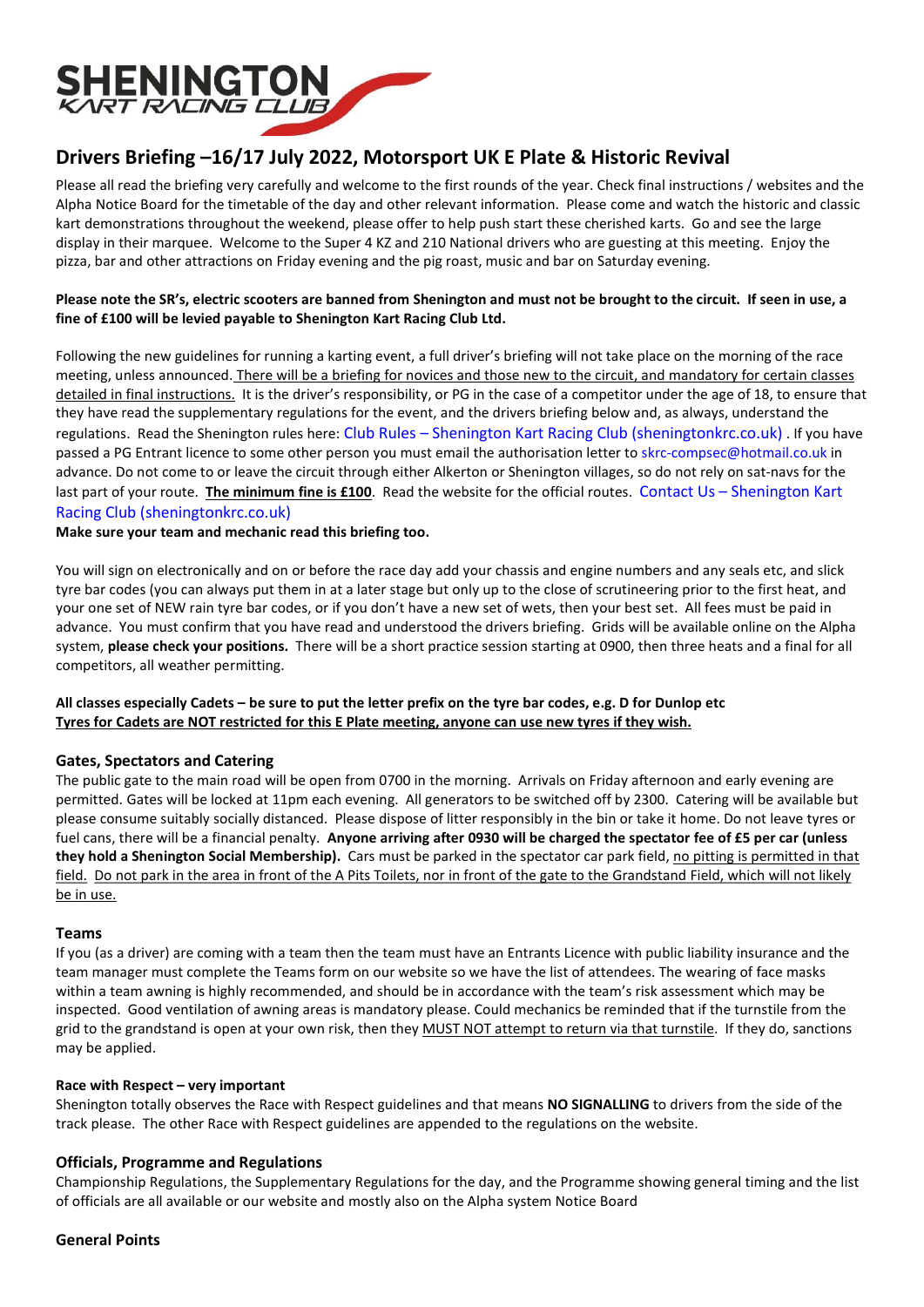

# Drivers Briefing –16/17 July 2022, Motorsport UK E Plate & Historic Revival

Please all read the briefing very carefully and welcome to the first rounds of the year. Check final instructions / websites and the Alpha Notice Board for the timetable of the day and other relevant information. Please come and watch the historic and classic kart demonstrations throughout the weekend, please offer to help push start these cherished karts. Go and see the large display in their marquee. Welcome to the Super 4 KZ and 210 National drivers who are guesting at this meeting. Enjoy the pizza, bar and other attractions on Friday evening and the pig roast, music and bar on Saturday evening.

## Please note the SR's, electric scooters are banned from Shenington and must not be brought to the circuit. If seen in use, a fine of £100 will be levied payable to Shenington Kart Racing Club Ltd.

Following the new guidelines for running a karting event, a full driver's briefing will not take place on the morning of the race meeting, unless announced. There will be a briefing for novices and those new to the circuit, and mandatory for certain classes detailed in final instructions. It is the driver's responsibility, or PG in the case of a competitor under the age of 18, to ensure that they have read the supplementary regulations for the event, and the drivers briefing below and, as always, understand the regulations. Read the Shenington rules here: Club Rules – Shenington Kart Racing Club (sheningtonkrc.co.uk) . If you have passed a PG Entrant licence to some other person you must email the authorisation letter to skrc-compsec@hotmail.co.uk in advance. Do not come to or leave the circuit through either Alkerton or Shenington villages, so do not rely on sat-navs for the last part of your route. The minimum fine is £100. Read the website for the official routes. Contact Us - Shenington Kart Racing Club (sheningtonkrc.co.uk)

Make sure your team and mechanic read this briefing too.

You will sign on electronically and on or before the race day add your chassis and engine numbers and any seals etc, and slick tyre bar codes (you can always put them in at a later stage but only up to the close of scrutineering prior to the first heat, and your one set of NEW rain tyre bar codes, or if you don't have a new set of wets, then your best set. All fees must be paid in advance. You must confirm that you have read and understood the drivers briefing. Grids will be available online on the Alpha system, please check your positions. There will be a short practice session starting at 0900, then three heats and a final for all competitors, all weather permitting.

## All classes especially Cadets – be sure to put the letter prefix on the tyre bar codes, e.g. D for Dunlop etc Tyres for Cadets are NOT restricted for this E Plate meeting, anyone can use new tyres if they wish.

# Gates, Spectators and Catering

The public gate to the main road will be open from 0700 in the morning. Arrivals on Friday afternoon and early evening are permitted. Gates will be locked at 11pm each evening. All generators to be switched off by 2300. Catering will be available but please consume suitably socially distanced. Please dispose of litter responsibly in the bin or take it home. Do not leave tyres or fuel cans, there will be a financial penalty. Anyone arriving after 0930 will be charged the spectator fee of £5 per car (unless they hold a Shenington Social Membership). Cars must be parked in the spectator car park field, no pitting is permitted in that field. Do not park in the area in front of the A Pits Toilets, nor in front of the gate to the Grandstand Field, which will not likely be in use.

#### Teams

If you (as a driver) are coming with a team then the team must have an Entrants Licence with public liability insurance and the team manager must complete the Teams form on our website so we have the list of attendees. The wearing of face masks within a team awning is highly recommended, and should be in accordance with the team's risk assessment which may be inspected. Good ventilation of awning areas is mandatory please. Could mechanics be reminded that if the turnstile from the grid to the grandstand is open at your own risk, then they MUST NOT attempt to return via that turnstile. If they do, sanctions may be applied.

#### Race with Respect – very important

Shenington totally observes the Race with Respect guidelines and that means NO SIGNALLING to drivers from the side of the track please. The other Race with Respect guidelines are appended to the regulations on the website.

# Officials, Programme and Regulations

Championship Regulations, the Supplementary Regulations for the day, and the Programme showing general timing and the list of officials are all available or our website and mostly also on the Alpha system Notice Board

#### General Points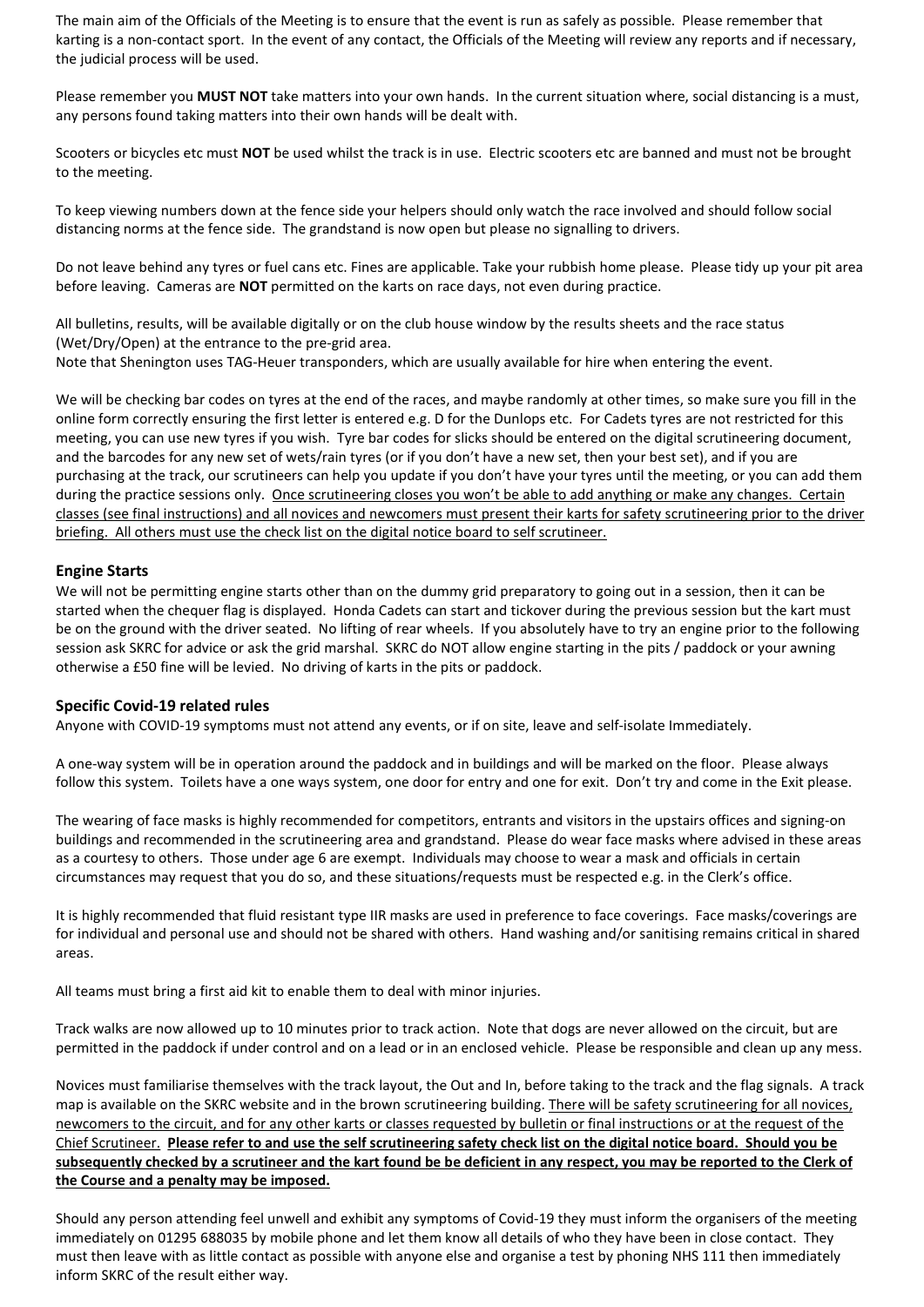The main aim of the Officials of the Meeting is to ensure that the event is run as safely as possible. Please remember that karting is a non-contact sport. In the event of any contact, the Officials of the Meeting will review any reports and if necessary, the judicial process will be used.

Please remember you **MUST NOT** take matters into your own hands. In the current situation where, social distancing is a must, any persons found taking matters into their own hands will be dealt with.

Scooters or bicycles etc must NOT be used whilst the track is in use. Electric scooters etc are banned and must not be brought to the meeting.

To keep viewing numbers down at the fence side your helpers should only watch the race involved and should follow social distancing norms at the fence side. The grandstand is now open but please no signalling to drivers.

Do not leave behind any tyres or fuel cans etc. Fines are applicable. Take your rubbish home please. Please tidy up your pit area before leaving. Cameras are **NOT** permitted on the karts on race days, not even during practice.

All bulletins, results, will be available digitally or on the club house window by the results sheets and the race status (Wet/Dry/Open) at the entrance to the pre-grid area. Note that Shenington uses TAG-Heuer transponders, which are usually available for hire when entering the event.

We will be checking bar codes on tyres at the end of the races, and maybe randomly at other times, so make sure you fill in the online form correctly ensuring the first letter is entered e.g. D for the Dunlops etc. For Cadets tyres are not restricted for this meeting, you can use new tyres if you wish. Tyre bar codes for slicks should be entered on the digital scrutineering document, and the barcodes for any new set of wets/rain tyres (or if you don't have a new set, then your best set), and if you are purchasing at the track, our scrutineers can help you update if you don't have your tyres until the meeting, or you can add them during the practice sessions only. Once scrutineering closes you won't be able to add anything or make any changes. Certain classes (see final instructions) and all novices and newcomers must present their karts for safety scrutineering prior to the driver briefing. All others must use the check list on the digital notice board to self scrutineer.

## Engine Starts

We will not be permitting engine starts other than on the dummy grid preparatory to going out in a session, then it can be started when the chequer flag is displayed. Honda Cadets can start and tickover during the previous session but the kart must be on the ground with the driver seated. No lifting of rear wheels. If you absolutely have to try an engine prior to the following session ask SKRC for advice or ask the grid marshal. SKRC do NOT allow engine starting in the pits / paddock or your awning otherwise a £50 fine will be levied. No driving of karts in the pits or paddock.

#### Specific Covid-19 related rules

Anyone with COVID-19 symptoms must not attend any events, or if on site, leave and self-isolate Immediately.

A one-way system will be in operation around the paddock and in buildings and will be marked on the floor. Please always follow this system. Toilets have a one ways system, one door for entry and one for exit. Don't try and come in the Exit please.

The wearing of face masks is highly recommended for competitors, entrants and visitors in the upstairs offices and signing-on buildings and recommended in the scrutineering area and grandstand. Please do wear face masks where advised in these areas as a courtesy to others. Those under age 6 are exempt. Individuals may choose to wear a mask and officials in certain circumstances may request that you do so, and these situations/requests must be respected e.g. in the Clerk's office.

It is highly recommended that fluid resistant type IIR masks are used in preference to face coverings. Face masks/coverings are for individual and personal use and should not be shared with others. Hand washing and/or sanitising remains critical in shared areas.

All teams must bring a first aid kit to enable them to deal with minor injuries.

Track walks are now allowed up to 10 minutes prior to track action. Note that dogs are never allowed on the circuit, but are permitted in the paddock if under control and on a lead or in an enclosed vehicle. Please be responsible and clean up any mess.

Novices must familiarise themselves with the track layout, the Out and In, before taking to the track and the flag signals. A track map is available on the SKRC website and in the brown scrutineering building. There will be safety scrutineering for all novices, newcomers to the circuit, and for any other karts or classes requested by bulletin or final instructions or at the request of the Chief Scrutineer. Please refer to and use the self scrutineering safety check list on the digital notice board. Should you be subsequently checked by a scrutineer and the kart found be be deficient in any respect, you may be reported to the Clerk of the Course and a penalty may be imposed.

Should any person attending feel unwell and exhibit any symptoms of Covid-19 they must inform the organisers of the meeting immediately on 01295 688035 by mobile phone and let them know all details of who they have been in close contact. They must then leave with as little contact as possible with anyone else and organise a test by phoning NHS 111 then immediately inform SKRC of the result either way.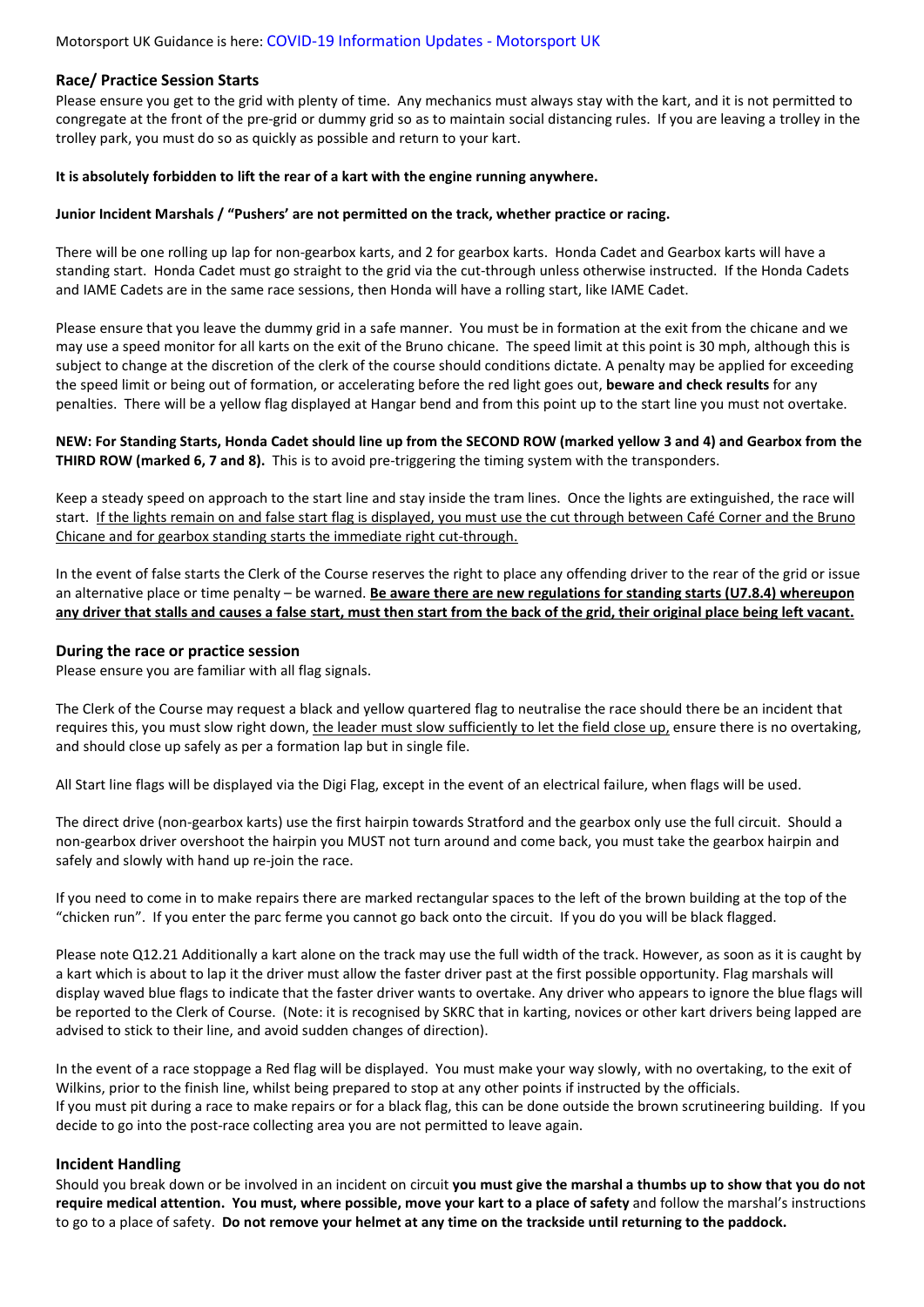#### Race/ Practice Session Starts

Please ensure you get to the grid with plenty of time. Any mechanics must always stay with the kart, and it is not permitted to congregate at the front of the pre-grid or dummy grid so as to maintain social distancing rules. If you are leaving a trolley in the trolley park, you must do so as quickly as possible and return to your kart.

#### It is absolutely forbidden to lift the rear of a kart with the engine running anywhere.

#### Junior Incident Marshals / "Pushers' are not permitted on the track, whether practice or racing.

There will be one rolling up lap for non-gearbox karts, and 2 for gearbox karts. Honda Cadet and Gearbox karts will have a standing start. Honda Cadet must go straight to the grid via the cut-through unless otherwise instructed. If the Honda Cadets and IAME Cadets are in the same race sessions, then Honda will have a rolling start, like IAME Cadet.

Please ensure that you leave the dummy grid in a safe manner. You must be in formation at the exit from the chicane and we may use a speed monitor for all karts on the exit of the Bruno chicane. The speed limit at this point is 30 mph, although this is subject to change at the discretion of the clerk of the course should conditions dictate. A penalty may be applied for exceeding the speed limit or being out of formation, or accelerating before the red light goes out, beware and check results for any penalties. There will be a yellow flag displayed at Hangar bend and from this point up to the start line you must not overtake.

## NEW: For Standing Starts, Honda Cadet should line up from the SECOND ROW (marked yellow 3 and 4) and Gearbox from the **THIRD ROW (marked 6, 7 and 8).** This is to avoid pre-triggering the timing system with the transponders.

Keep a steady speed on approach to the start line and stay inside the tram lines. Once the lights are extinguished, the race will start. If the lights remain on and false start flag is displayed, you must use the cut through between Café Corner and the Bruno Chicane and for gearbox standing starts the immediate right cut-through.

In the event of false starts the Clerk of the Course reserves the right to place any offending driver to the rear of the grid or issue an alternative place or time penalty – be warned. Be aware there are new regulations for standing starts (U7.8.4) whereupon any driver that stalls and causes a false start, must then start from the back of the grid, their original place being left vacant.

## During the race or practice session

Please ensure you are familiar with all flag signals.

The Clerk of the Course may request a black and yellow quartered flag to neutralise the race should there be an incident that requires this, you must slow right down, the leader must slow sufficiently to let the field close up, ensure there is no overtaking, and should close up safely as per a formation lap but in single file.

All Start line flags will be displayed via the Digi Flag, except in the event of an electrical failure, when flags will be used.

The direct drive (non-gearbox karts) use the first hairpin towards Stratford and the gearbox only use the full circuit. Should a non-gearbox driver overshoot the hairpin you MUST not turn around and come back, you must take the gearbox hairpin and safely and slowly with hand up re-join the race.

If you need to come in to make repairs there are marked rectangular spaces to the left of the brown building at the top of the "chicken run". If you enter the parc ferme you cannot go back onto the circuit. If you do you will be black flagged.

Please note Q12.21 Additionally a kart alone on the track may use the full width of the track. However, as soon as it is caught by a kart which is about to lap it the driver must allow the faster driver past at the first possible opportunity. Flag marshals will display waved blue flags to indicate that the faster driver wants to overtake. Any driver who appears to ignore the blue flags will be reported to the Clerk of Course. (Note: it is recognised by SKRC that in karting, novices or other kart drivers being lapped are advised to stick to their line, and avoid sudden changes of direction).

In the event of a race stoppage a Red flag will be displayed. You must make your way slowly, with no overtaking, to the exit of Wilkins, prior to the finish line, whilst being prepared to stop at any other points if instructed by the officials. If you must pit during a race to make repairs or for a black flag, this can be done outside the brown scrutineering building. If you decide to go into the post-race collecting area you are not permitted to leave again.

#### Incident Handling

Should you break down or be involved in an incident on circuit you must give the marshal a thumbs up to show that you do not require medical attention. You must, where possible, move your kart to a place of safety and follow the marshal's instructions to go to a place of safety. Do not remove your helmet at any time on the trackside until returning to the paddock.